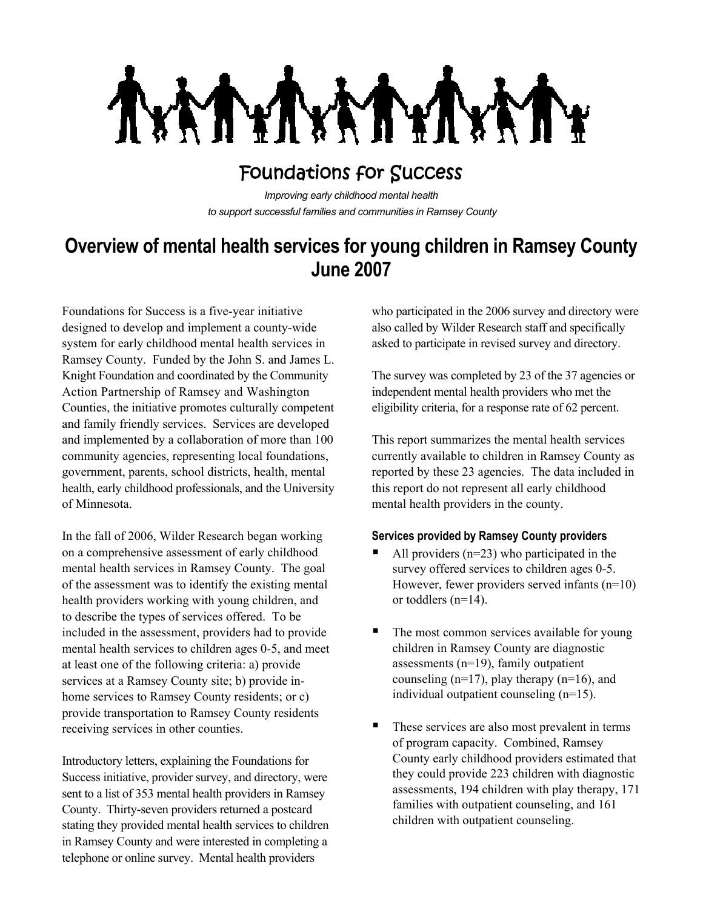**TYT** MY

# Foundations for Success

*Improving early childhood mental health to support successful families and communities in Ramsey County*

# **Overview of mental health services for young children in Ramsey County June 2007**

Foundations for Success is a five-year initiative designed to develop and implement a county-wide system for early childhood mental health services in Ramsey County. Funded by the John S. and James L. Knight Foundation and coordinated by the Community Action Partnership of Ramsey and Washington Counties, the initiative promotes culturally competent and family friendly services. Services are developed and implemented by a collaboration of more than 100 community agencies, representing local foundations, government, parents, school districts, health, mental health, early childhood professionals, and the University of Minnesota.

In the fall of 2006, Wilder Research began working on a comprehensive assessment of early childhood mental health services in Ramsey County. The goal of the assessment was to identify the existing mental health providers working with young children, and to describe the types of services offered. To be included in the assessment, providers had to provide mental health services to children ages 0-5, and meet at least one of the following criteria: a) provide services at a Ramsey County site; b) provide inhome services to Ramsey County residents; or c) provide transportation to Ramsey County residents receiving services in other counties.

Introductory letters, explaining the Foundations for Success initiative, provider survey, and directory, were sent to a list of 353 mental health providers in Ramsey County. Thirty-seven providers returned a postcard stating they provided mental health services to children in Ramsey County and were interested in completing a telephone or online survey. Mental health providers

who participated in the 2006 survey and directory were also called by Wilder Research staff and specifically asked to participate in revised survey and directory.

The survey was completed by 23 of the 37 agencies or independent mental health providers who met the eligibility criteria, for a response rate of 62 percent.

This report summarizes the mental health services currently available to children in Ramsey County as reported by these 23 agencies. The data included in this report do not represent all early childhood mental health providers in the county.

### **Services provided by Ramsey County providers**

- All providers (n=23) who participated in the survey offered services to children ages 0-5. However, fewer providers served infants (n=10) or toddlers (n=14).
- The most common services available for young children in Ramsey County are diagnostic assessments (n=19), family outpatient counseling  $(n=17)$ , play therapy  $(n=16)$ , and individual outpatient counseling (n=15).
- These services are also most prevalent in terms of program capacity. Combined, Ramsey County early childhood providers estimated that they could provide 223 children with diagnostic assessments, 194 children with play therapy, 171 families with outpatient counseling, and 161 children with outpatient counseling.